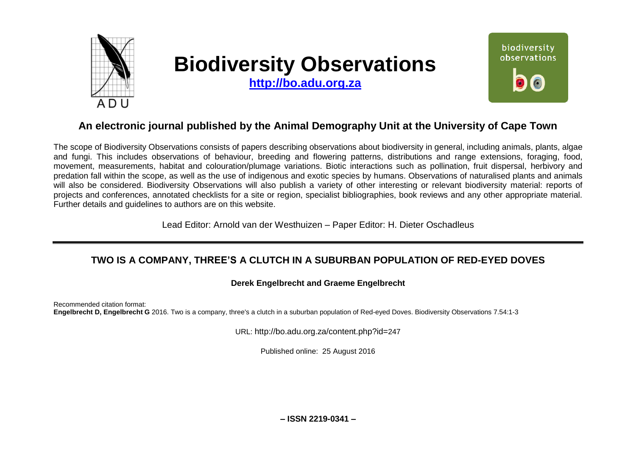

# **Biodiversity Observations**

**[http://bo.adu.org.za](http://bo.adu.org.za/)**



# **An electronic journal published by the Animal Demography Unit at the University of Cape Town**

The scope of Biodiversity Observations consists of papers describing observations about biodiversity in general, including animals, plants, algae and fungi. This includes observations of behaviour, breeding and flowering patterns, distributions and range extensions, foraging, food, movement, measurements, habitat and colouration/plumage variations. Biotic interactions such as pollination, fruit dispersal, herbivory and predation fall within the scope, as well as the use of indigenous and exotic species by humans. Observations of naturalised plants and animals will also be considered. Biodiversity Observations will also publish a variety of other interesting or relevant biodiversity material: reports of projects and conferences, annotated checklists for a site or region, specialist bibliographies, book reviews and any other appropriate material. Further details and guidelines to authors are on this website.

Lead Editor: Arnold van der Westhuizen – Paper Editor: H. Dieter Oschadleus

# **TWO IS A COMPANY, THREE'S A CLUTCH IN A SUBURBAN POPULATION OF RED-EYED DOVES**

## **Derek Engelbrecht and Graeme Engelbrecht**

Recommended citation format: **Engelbrecht D, Engelbrecht G** 2016. Two is a company, three's a clutch in a suburban population of Red-eyed Doves. Biodiversity Observations 7.54:1-3

URL: http://bo.adu.org.za/content.php?id=247

Published online: 25 August 2016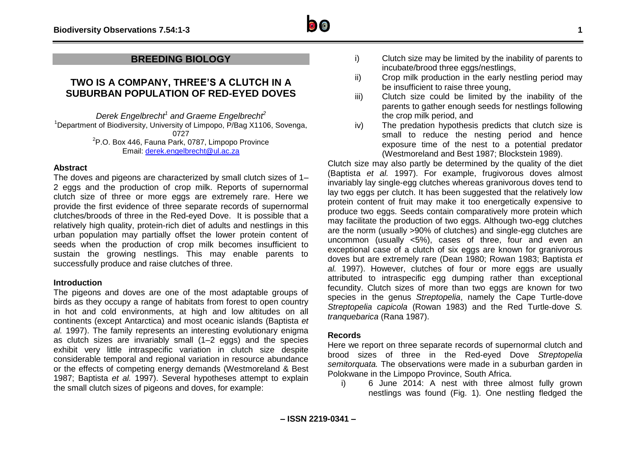

## **TWO IS A COMPANY, THREE'S A CLUTCH IN A SUBURBAN POPULATION OF RED-EYED DOVES**

*Derek Engelbrecht<sup>1</sup> and Graeme Engelbrecht<sup>2</sup>* <sup>1</sup>Department of Biodiversity, University of Limpopo, P/Bag X1106, Sovenga, 0727 <sup>2</sup>P.O. Box 446, Fauna Park, 0787, Limpopo Province Email: [derek.engelbrecht@ul.ac.za](mailto:derek.engelbrecht@ul.ac.za)

#### **Abstract**

The doves and pigeons are characterized by small clutch sizes of 1– 2 eggs and the production of crop milk. Reports of supernormal clutch size of three or more eggs are extremely rare. Here we provide the first evidence of three separate records of supernormal clutches/broods of three in the Red-eyed Dove. It is possible that a relatively high quality, protein-rich diet of adults and nestlings in this urban population may partially offset the lower protein content of seeds when the production of crop milk becomes insufficient to sustain the growing nestlings. This may enable parents to successfully produce and raise clutches of three.

#### **Introduction**

The pigeons and doves are one of the most adaptable groups of birds as they occupy a range of habitats from forest to open country in hot and cold environments, at high and low altitudes on all continents (except Antarctica) and most oceanic islands (Baptista *et al.* 1997). The family represents an interesting evolutionary enigma as clutch sizes are invariably small (1–2 eggs) and the species exhibit very little intraspecific variation in clutch size despite considerable temporal and regional variation in resource abundance or the effects of competing energy demands (Westmoreland & Best 1987; Baptista *et al.* 1997). Several hypotheses attempt to explain the small clutch sizes of pigeons and doves, for example:

- i) Clutch size may be limited by the inability of parents to incubate/brood three eggs/nestlings,
- ii) Crop milk production in the early nestling period may be insufficient to raise three young,
- iii) Clutch size could be limited by the inability of the parents to gather enough seeds for nestlings following the crop milk period, and
- iv) The predation hypothesis predicts that clutch size is small to reduce the nesting period and hence exposure time of the nest to a potential predator (Westmoreland and Best 1987; Blockstein 1989).

Clutch size may also partly be determined by the quality of the diet (Baptista *et al.* 1997). For example, frugivorous doves almost invariably lay single-egg clutches whereas granivorous doves tend to lay two eggs per clutch. It has been suggested that the relatively low protein content of fruit may make it too energetically expensive to produce two eggs. Seeds contain comparatively more protein which may facilitate the production of two eggs. Although two-egg clutches are the norm (usually >90% of clutches) and single-egg clutches are uncommon (usually <5%), cases of three, four and even an exceptional case of a clutch of six eggs are known for granivorous doves but are extremely rare (Dean 1980; Rowan 1983; Baptista *et al.* 1997). However, clutches of four or more eggs are usually attributed to intraspecific egg dumping rather than exceptional fecundity. Clutch sizes of more than two eggs are known for two species in the genus *Streptopelia*, namely the Cape Turtle-dove *Streptopelia capicola* (Rowan 1983) and the Red Turtle-dove *S. tranquebarica* (Rana 1987).

#### **Records**

Here we report on three separate records of supernormal clutch and brood sizes of three in the Red-eyed Dove *Streptopelia semitorquata.* The observations were made in a suburban garden in Polokwane in the Limpopo Province, South Africa.

i) 6 June 2014: A nest with three almost fully grown nestlings was found (Fig. 1). One nestling fledged the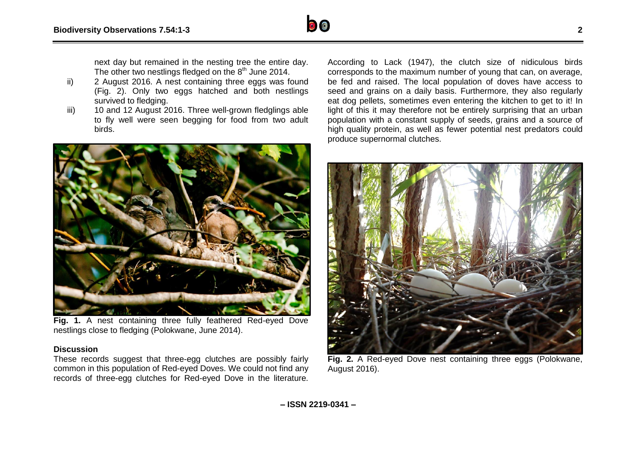next day but remained in the nesting tree the entire day. The other two nestlings fledged on the  $8<sup>th</sup>$  June 2014.

- ii) 2 August 2016. A nest containing three eggs was found (Fig. 2). Only two eggs hatched and both nestlings survived to fledging.
- iii) 10 and 12 August 2016. Three well-grown fledglings able to fly well were seen begging for food from two adult birds.



**Fig. 1.** A nest containing three fully feathered Red-eyed Dove nestlings close to fledging (Polokwane, June 2014).

### **Discussion**

These records suggest that three-egg clutches are possibly fairly common in this population of Red-eyed Doves. We could not find any records of three-egg clutches for Red-eyed Dove in the literature.

According to Lack (1947), the clutch size of nidiculous birds corresponds to the maximum number of young that can, on average, be fed and raised. The local population of doves have access to seed and grains on a daily basis. Furthermore, they also regularly eat dog pellets, sometimes even entering the kitchen to get to it! In light of this it may therefore not be entirely surprising that an urban population with a constant supply of seeds, grains and a source of high quality protein, as well as fewer potential nest predators could produce supernormal clutches.



**Fig. 2.** A Red-eyed Dove nest containing three eggs (Polokwane, August 2016).